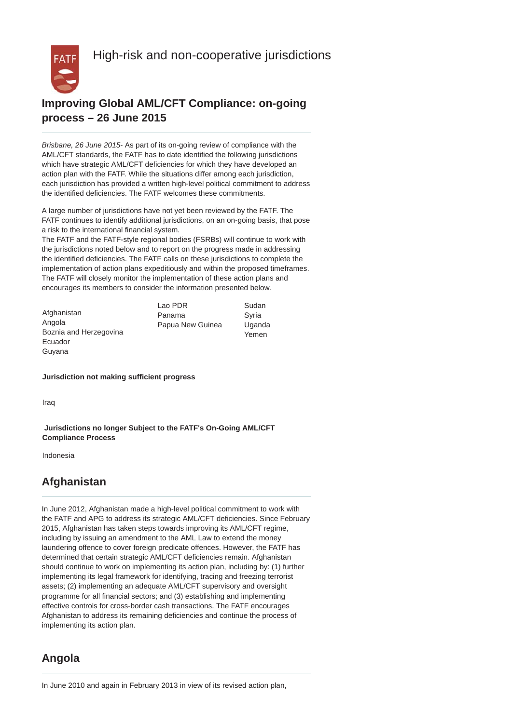High-risk and non-cooperative jurisdictions



## **Improving Global AML/CFT Compliance: on-going process – 26 June 2015**

*Brisbane, 26 June 2015*- As part of its on-going review of compliance with the AML/CFT standards, the FATF has to date identified the following jurisdictions which have strategic AML/CFT deficiencies for which they have developed an action plan with the FATF. While the situations differ among each jurisdiction, each jurisdiction has provided a written high-level political commitment to address the identified deficiencies. The FATF welcomes these commitments.

A large number of jurisdictions have not yet been reviewed by the FATF. The FATF continues to identify additional jurisdictions, on an on-going basis, that pose a risk to the international financial system.

The FATF and the FATF-style regional bodies (FSRBs) will continue to work with the jurisdictions noted below and to report on the progress made in addressing the identified deficiencies. The FATF calls on these jurisdictions to complete the implementation of action plans expeditiously and within the proposed timeframes. The FATF will closely monitor the implementation of these action plans and encourages its members to consider the information presented below.

|                        | Lao PDR          | Sudan  |
|------------------------|------------------|--------|
| Afghanistan            | Panama           | Svria  |
| Angola                 | Papua New Guinea | Uganda |
| Boznia and Herzegovina |                  | Yemen  |
| Ecuador                |                  |        |

**Jurisdiction not making sufficient progress** 

Iraq

Guyana

 **Jurisdictions no longer Subject to the FATF's On-Going AML/CFT Compliance Process** 

Indonesia

## **Afghanistan**

In June 2012, Afghanistan made a high-level political commitment to work with the FATF and APG to address its strategic AML/CFT deficiencies. Since February 2015, Afghanistan has taken steps towards improving its AML/CFT regime, including by issuing an amendment to the AML Law to extend the money laundering offence to cover foreign predicate offences. However, the FATF has determined that certain strategic AML/CFT deficiencies remain. Afghanistan should continue to work on implementing its action plan, including by: (1) further implementing its legal framework for identifying, tracing and freezing terrorist assets; (2) implementing an adequate AML/CFT supervisory and oversight programme for all financial sectors; and (3) establishing and implementing effective controls for cross-border cash transactions. The FATF encourages Afghanistan to address its remaining deficiencies and continue the process of implementing its action plan.

## **Angola**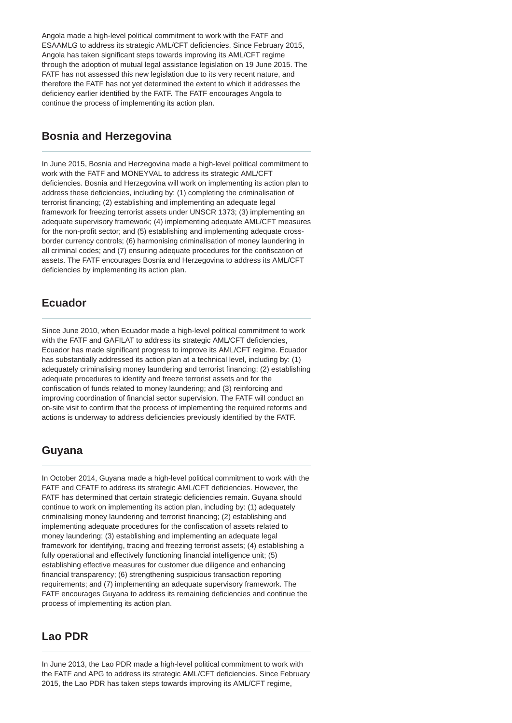Angola made a high-level political commitment to work with the FATF and ESAAMLG to address its strategic AML/CFT deficiencies. Since February 2015, Angola has taken significant steps towards improving its AML/CFT regime through the adoption of mutual legal assistance legislation on 19 June 2015. The FATF has not assessed this new legislation due to its very recent nature, and therefore the FATF has not yet determined the extent to which it addresses the deficiency earlier identified by the FATF. The FATF encourages Angola to continue the process of implementing its action plan.

#### **Bosnia and Herzegovina**

In June 2015, Bosnia and Herzegovina made a high-level political commitment to work with the FATF and MONEYVAL to address its strategic AML/CFT deficiencies. Bosnia and Herzegovina will work on implementing its action plan to address these deficiencies, including by: (1) completing the criminalisation of terrorist financing; (2) establishing and implementing an adequate legal framework for freezing terrorist assets under UNSCR 1373; (3) implementing an adequate supervisory framework; (4) implementing adequate AML/CFT measures for the non-profit sector; and (5) establishing and implementing adequate crossborder currency controls; (6) harmonising criminalisation of money laundering in all criminal codes; and (7) ensuring adequate procedures for the confiscation of assets. The FATF encourages Bosnia and Herzegovina to address its AML/CFT deficiencies by implementing its action plan.

## **Ecuador**

Since June 2010, when Ecuador made a high-level political commitment to work with the FATF and GAFILAT to address its strategic AML/CFT deficiencies. Ecuador has made significant progress to improve its AML/CFT regime. Ecuador has substantially addressed its action plan at a technical level, including by: (1) adequately criminalising money laundering and terrorist financing; (2) establishing adequate procedures to identify and freeze terrorist assets and for the confiscation of funds related to money laundering; and (3) reinforcing and improving coordination of financial sector supervision. The FATF will conduct an on-site visit to confirm that the process of implementing the required reforms and actions is underway to address deficiencies previously identified by the FATF.

## **Guyana**

In October 2014, Guyana made a high-level political commitment to work with the FATF and CFATF to address its strategic AML/CFT deficiencies. However, the FATF has determined that certain strategic deficiencies remain. Guyana should continue to work on implementing its action plan, including by: (1) adequately criminalising money laundering and terrorist financing; (2) establishing and implementing adequate procedures for the confiscation of assets related to money laundering; (3) establishing and implementing an adequate legal framework for identifying, tracing and freezing terrorist assets; (4) establishing a fully operational and effectively functioning financial intelligence unit; (5) establishing effective measures for customer due diligence and enhancing financial transparency; (6) strengthening suspicious transaction reporting requirements; and (7) implementing an adequate supervisory framework. The FATF encourages Guyana to address its remaining deficiencies and continue the process of implementing its action plan.

#### **Lao PDR**

In June 2013, the Lao PDR made a high-level political commitment to work with the FATF and APG to address its strategic AML/CFT deficiencies. Since February 2015, the Lao PDR has taken steps towards improving its AML/CFT regime,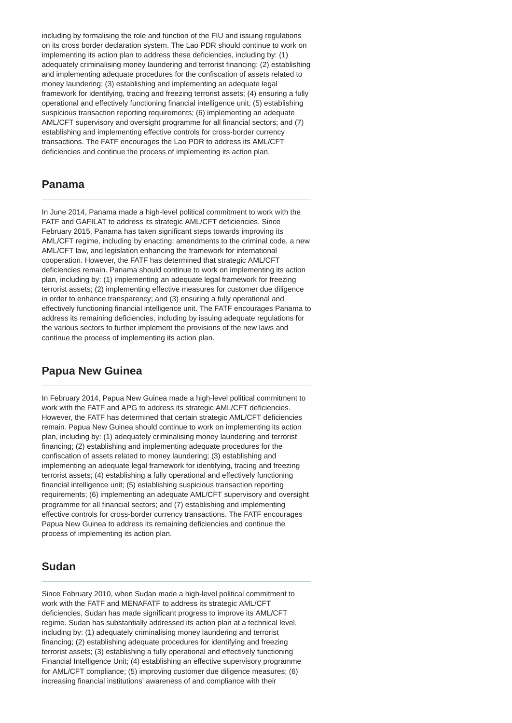including by formalising the role and function of the FIU and issuing regulations on its cross border declaration system. The Lao PDR should continue to work on implementing its action plan to address these deficiencies, including by: (1) adequately criminalising money laundering and terrorist financing; (2) establishing and implementing adequate procedures for the confiscation of assets related to money laundering; (3) establishing and implementing an adequate legal framework for identifying, tracing and freezing terrorist assets; (4) ensuring a fully operational and effectively functioning financial intelligence unit; (5) establishing suspicious transaction reporting requirements; (6) implementing an adequate AML/CFT supervisory and oversight programme for all financial sectors; and (7) establishing and implementing effective controls for cross-border currency transactions. The FATF encourages the Lao PDR to address its AML/CFT deficiencies and continue the process of implementing its action plan.

#### **Panama**

In June 2014, Panama made a high-level political commitment to work with the FATF and GAFILAT to address its strategic AML/CFT deficiencies. Since February 2015, Panama has taken significant steps towards improving its AML/CFT regime, including by enacting: amendments to the criminal code, a new AML/CFT law, and legislation enhancing the framework for international cooperation. However, the FATF has determined that strategic AML/CFT deficiencies remain. Panama should continue to work on implementing its action plan, including by: (1) implementing an adequate legal framework for freezing terrorist assets; (2) implementing effective measures for customer due diligence in order to enhance transparency; and (3) ensuring a fully operational and effectively functioning financial intelligence unit. The FATF encourages Panama to address its remaining deficiencies, including by issuing adequate regulations for the various sectors to further implement the provisions of the new laws and continue the process of implementing its action plan.

#### **Papua New Guinea**

In February 2014, Papua New Guinea made a high-level political commitment to work with the FATF and APG to address its strategic AML/CFT deficiencies. However, the FATF has determined that certain strategic AML/CFT deficiencies remain. Papua New Guinea should continue to work on implementing its action plan, including by: (1) adequately criminalising money laundering and terrorist financing; (2) establishing and implementing adequate procedures for the confiscation of assets related to money laundering; (3) establishing and implementing an adequate legal framework for identifying, tracing and freezing terrorist assets; (4) establishing a fully operational and effectively functioning financial intelligence unit; (5) establishing suspicious transaction reporting requirements; (6) implementing an adequate AML/CFT supervisory and oversight programme for all financial sectors; and (7) establishing and implementing effective controls for cross-border currency transactions. The FATF encourages Papua New Guinea to address its remaining deficiencies and continue the process of implementing its action plan.

#### **Sudan**

Since February 2010, when Sudan made a high-level political commitment to work with the FATF and MENAFATF to address its strategic AML/CFT deficiencies, Sudan has made significant progress to improve its AML/CFT regime. Sudan has substantially addressed its action plan at a technical level, including by: (1) adequately criminalising money laundering and terrorist financing; (2) establishing adequate procedures for identifying and freezing terrorist assets; (3) establishing a fully operational and effectively functioning Financial Intelligence Unit; (4) establishing an effective supervisory programme for AML/CFT compliance; (5) improving customer due diligence measures; (6) increasing financial institutions' awareness of and compliance with their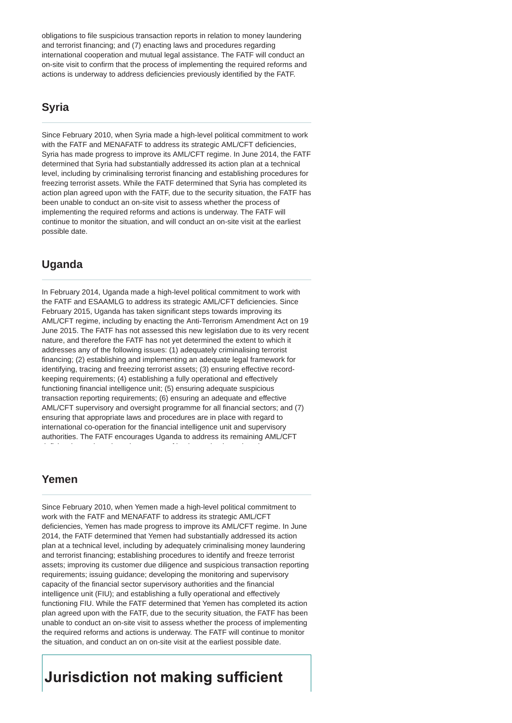obligations to file suspicious transaction reports in relation to money laundering and terrorist financing; and (7) enacting laws and procedures regarding international cooperation and mutual legal assistance. The FATF will conduct an on-site visit to confirm that the process of implementing the required reforms and actions is underway to address deficiencies previously identified by the FATF.

## **Syria**

Since February 2010, when Syria made a high-level political commitment to work with the FATF and MENAFATF to address its strategic AML/CFT deficiencies, Syria has made progress to improve its AML/CFT regime. In June 2014, the FATF determined that Syria had substantially addressed its action plan at a technical level, including by criminalising terrorist financing and establishing procedures for freezing terrorist assets. While the FATF determined that Syria has completed its action plan agreed upon with the FATF, due to the security situation, the FATF has been unable to conduct an on-site visit to assess whether the process of implementing the required reforms and actions is underway. The FATF will continue to monitor the situation, and will conduct an on-site visit at the earliest possible date.

## **Uganda**

In February 2014, Uganda made a high-level political commitment to work with the FATF and ESAAMLG to address its strategic AML/CFT deficiencies. Since February 2015, Uganda has taken significant steps towards improving its AML/CFT regime, including by enacting the Anti-Terrorism Amendment Act on 19 June 2015. The FATF has not assessed this new legislation due to its very recent nature, and therefore the FATF has not yet determined the extent to which it addresses any of the following issues: (1) adequately criminalising terrorist financing; (2) establishing and implementing an adequate legal framework for identifying, tracing and freezing terrorist assets; (3) ensuring effective recordkeeping requirements; (4) establishing a fully operational and effectively functioning financial intelligence unit; (5) ensuring adequate suspicious transaction reporting requirements; (6) ensuring an adequate and effective AML/CFT supervisory and oversight programme for all financial sectors; and (7) ensuring that appropriate laws and procedures are in place with regard to international co-operation for the financial intelligence unit and supervisory authorities. The FATF encourages Uganda to address its remaining AML/CFT

deficiencies and continue the process of implementing its action plan.

#### **Yemen**

Since February 2010, when Yemen made a high-level political commitment to work with the FATF and MENAFATF to address its strategic AML/CFT deficiencies, Yemen has made progress to improve its AML/CFT regime. In June 2014, the FATF determined that Yemen had substantially addressed its action plan at a technical level, including by adequately criminalising money laundering and terrorist financing; establishing procedures to identify and freeze terrorist assets; improving its customer due diligence and suspicious transaction reporting requirements; issuing guidance; developing the monitoring and supervisory capacity of the financial sector supervisory authorities and the financial intelligence unit (FIU); and establishing a fully operational and effectively functioning FIU. While the FATF determined that Yemen has completed its action plan agreed upon with the FATF, due to the security situation, the FATF has been unable to conduct an on-site visit to assess whether the process of implementing the required reforms and actions is underway. The FATF will continue to monitor the situation, and conduct an on on-site visit at the earliest possible date.

## **Jurisdiction not making sufficient**